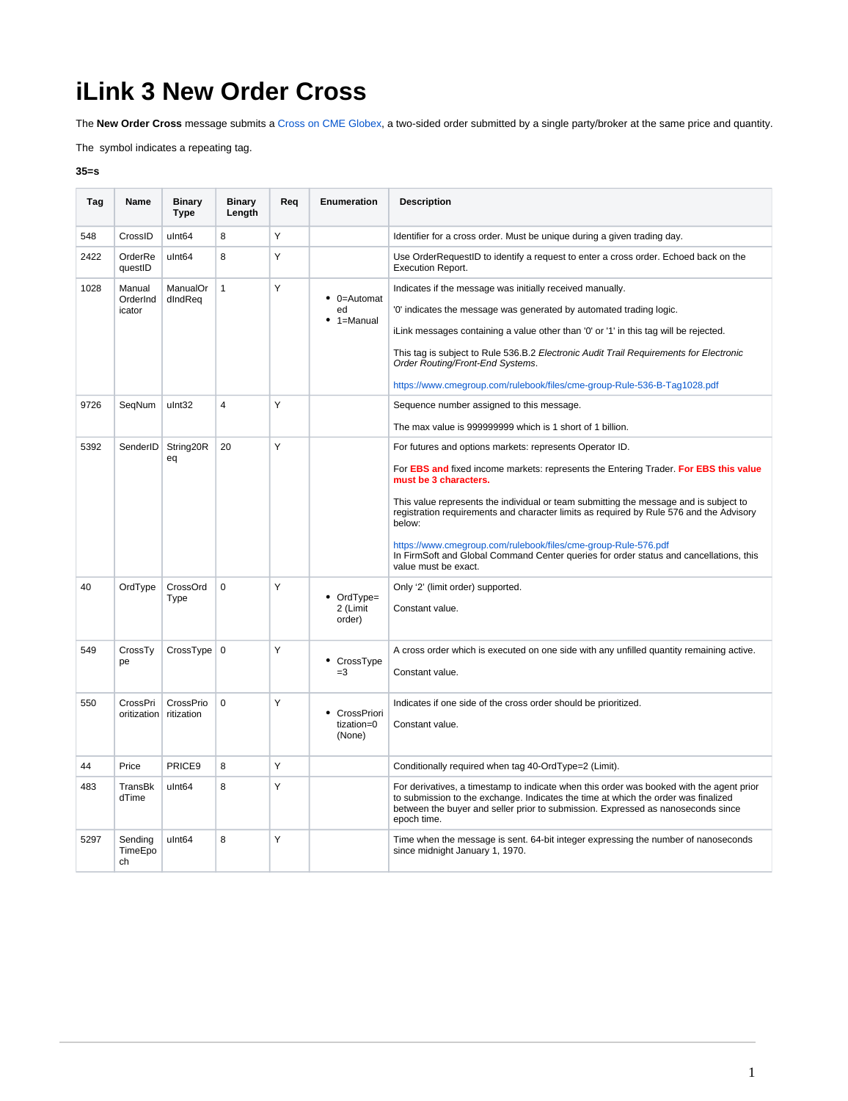## **iLink 3 New Order Cross**

The **New Order Cross** message submits a [Cross on CME Globex](https://www.cmegroup.com/confluence/display/EPICSANDBOX/Cross+on+CME+Globex), a two-sided order submitted by a single party/broker at the same price and quantity.

The symbol indicates a repeating tag.

## **35=s**

| Tag  | Name                         | <b>Binary</b><br><b>Type</b> | <b>Binary</b><br>Length | Req | Enumeration                                 | <b>Description</b>                                                                                                                                                                                                                                                                |
|------|------------------------------|------------------------------|-------------------------|-----|---------------------------------------------|-----------------------------------------------------------------------------------------------------------------------------------------------------------------------------------------------------------------------------------------------------------------------------------|
| 548  | CrossID                      | ulnt <sub>64</sub>           | 8                       | Υ   |                                             | Identifier for a cross order. Must be unique during a given trading day.                                                                                                                                                                                                          |
| 2422 | OrderRe<br>questID           | ulnt <sub>64</sub>           | 8                       | Y   |                                             | Use OrderRequestID to identify a request to enter a cross order. Echoed back on the<br><b>Execution Report.</b>                                                                                                                                                                   |
| 1028 | Manual<br>OrderInd<br>icator | ManualOr<br>dIndReq          | $\mathbf{1}$            | Y   | $\bullet$ 0=Automat<br>ed<br>$• 1 =$ Manual | Indicates if the message was initially received manually.                                                                                                                                                                                                                         |
|      |                              |                              |                         |     |                                             | '0' indicates the message was generated by automated trading logic.                                                                                                                                                                                                               |
|      |                              |                              |                         |     |                                             | iLink messages containing a value other than '0' or '1' in this tag will be rejected.                                                                                                                                                                                             |
|      |                              |                              |                         |     |                                             | This tag is subject to Rule 536.B.2 Electronic Audit Trail Requirements for Electronic<br>Order Routing/Front-End Systems.                                                                                                                                                        |
|      |                              |                              |                         |     |                                             | https://www.cmegroup.com/rulebook/files/cme-group-Rule-536-B-Tag1028.pdf                                                                                                                                                                                                          |
| 9726 | SeqNum                       | ulnt32                       | 4                       | Y   |                                             | Sequence number assigned to this message.                                                                                                                                                                                                                                         |
|      |                              |                              |                         |     |                                             | The max value is 999999999 which is 1 short of 1 billion.                                                                                                                                                                                                                         |
| 5392 | SenderID                     | String20R<br>eq              | 20                      | Y   |                                             | For futures and options markets: represents Operator ID.                                                                                                                                                                                                                          |
|      |                              |                              |                         |     |                                             | For EBS and fixed income markets: represents the Entering Trader. For EBS this value<br>must be 3 characters.                                                                                                                                                                     |
|      |                              |                              |                         |     |                                             | This value represents the individual or team submitting the message and is subject to<br>registration requirements and character limits as required by Rule 576 and the Advisory<br>below:                                                                                        |
|      |                              |                              |                         |     |                                             | https://www.cmegroup.com/rulebook/files/cme-group-Rule-576.pdf<br>In FirmSoft and Global Command Center queries for order status and cancellations, this<br>value must be exact.                                                                                                  |
| 40   | OrdType                      | CrossOrd<br>Type             | $\Omega$                | Y   | • OrdType=<br>2 (Limit<br>order)            | Only '2' (limit order) supported.<br>Constant value.                                                                                                                                                                                                                              |
| 549  | CrossTy                      | $CrossType \mid 0$           |                         | Y   | • CrossType                                 | A cross order which is executed on one side with any unfilled quantity remaining active.                                                                                                                                                                                          |
|      | pe                           |                              |                         |     | $=3$                                        | Constant value.                                                                                                                                                                                                                                                                   |
| 550  | CrossPri                     | CrossPrio                    | $\Omega$                | Y   | • CrossPriori                               | Indicates if one side of the cross order should be prioritized.                                                                                                                                                                                                                   |
|      | oritization ritization       |                              |                         |     | tization=0<br>(None)                        | Constant value.                                                                                                                                                                                                                                                                   |
| 44   | Price                        | PRICE <sub>9</sub>           | 8                       | Y   |                                             | Conditionally required when tag 40-OrdType=2 (Limit).                                                                                                                                                                                                                             |
| 483  | TransBk<br>dTime             | ulnt <sub>64</sub>           | 8                       | Y   |                                             | For derivatives, a timestamp to indicate when this order was booked with the agent prior<br>to submission to the exchange. Indicates the time at which the order was finalized<br>between the buyer and seller prior to submission. Expressed as nanoseconds since<br>epoch time. |
| 5297 | Sending<br>TimeEpo<br>ch     | ulnt <sub>64</sub>           | 8                       | Υ   |                                             | Time when the message is sent. 64-bit integer expressing the number of nanoseconds<br>since midnight January 1, 1970.                                                                                                                                                             |